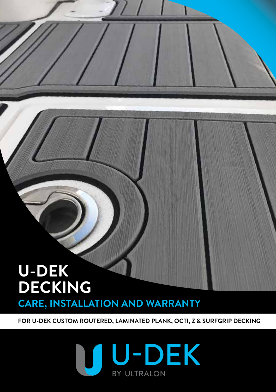# **CARE, INSTALLATION AND WARRANTY U-DEK DECKING**

**FOR U-DEK CUSTOM ROUTERED, LAMINATED PLANK, OCTI, Z & SURFGRIP DECKING**

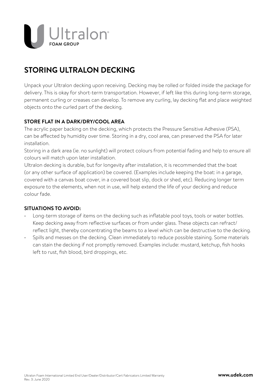

## **STORING ULTRALON DECKING**

Unpack your Ultralon decking upon receiving. Decking may be rolled or folded inside the package for delivery. This is okay for short-term transportation. However, if left like this during long-term storage, permanent curling or creases can develop. To remove any curling, lay decking flat and place weighted objects onto the curled part of the decking.

### **STORE FLAT IN A DARK/DRY/COOL AREA**

The acrylic paper backing on the decking, which protects the Pressure Sensitive Adhesive (PSA), can be affected by humidity over time. Storing in a dry, cool area, can preserved the PSA for later installation.

Storing in a dark area (ie. no sunlight) will protect colours from potential fading and help to ensure all colours will match upon later installation.

Ultralon decking is durable, but for longevity after installation, it is recommended that the boat (or any other surface of application) be covered. (Examples include keeping the boat: in a garage, covered with a canvas boat cover, in a covered boat slip, dock or shed, etc). Reducing longer term exposure to the elements, when not in use, will help extend the life of your decking and reduce colour fade.

### **SITUATIONS TO AVOID:**

- Long-term storage of items on the decking such as inflatable pool toys, tools or water bottles. Keep decking away from reflective surfaces or from under glass. These objects can refract/ reflect light, thereby concentrating the beams to a level which can be destructive to the decking.
- Spills and messes on the decking. Clean immediately to reduce possible staining. Some materials can stain the decking if not promptly removed. Examples include: mustard, ketchup, fish hooks left to rust, fish blood, bird droppings, etc.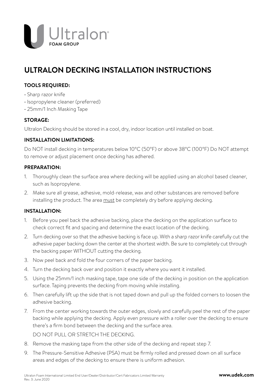

## **ULTRALON DECKING INSTALLATION INSTRUCTIONS**

### **TOOLS REQUIRED:**

- Sharp razor knife
- Isopropylene cleaner (preferred)
- 25mm/1 Inch Masking Tape

### **STORAGE:**

Ultralon Decking should be stored in a cool, dry, indoor location until installed on boat.

### **INSTALLATION LIMITATIONS:**

Do NOT install decking in temperatures below 10°C (50°F) or above 38°C (100°F) Do NOT attempt to remove or adjust placement once decking has adhered.

### **PREPARATION:**

- 1. Thoroughly clean the surface area where decking will be applied using an alcohol based cleaner, such as Isopropylene.
- 2. Make sure all grease, adhesive, mold-release, wax and other substances are removed before installing the product. The area must be completely dry before applying decking.

### **INSTALLATION:**

- 1. Before you peel back the adhesive backing, place the decking on the application surface to check correct fit and spacing and determine the exact location of the decking.
- 2. Turn decking over so that the adhesive backing is face up. With a sharp razor knife carefully cut the adhesive paper backing down the center at the shortest width. Be sure to completely cut through the backing paper WITHOUT cutting the decking.
- 3. Now peel back and fold the four corners of the paper backing.
- 4. Turn the decking back over and position it exactly where you want it installed.
- 5. Using the 25mm/1 inch masking tape, tape one side of the decking in position on the application surface. Taping prevents the decking from moving while installing.
- 6. Then carefully lift up the side that is not taped down and pull up the folded corners to loosen the adhesive backing.
- 7. From the center working towards the outer edges, slowly and carefully peel the rest of the paper backing while applying the decking. Apply even pressure with a roller over the decking to ensure there's a firm bond between the decking and the surface area.

DO NOT PULL OR STRETCH THE DECKING.

- 8. Remove the masking tape from the other side of the decking and repeat step 7.
- 9. The Pressure-Sensitive Adhesive (PSA) must be firmly rolled and pressed down on all surface areas and edges of the decking to ensure there is uniform adhesion.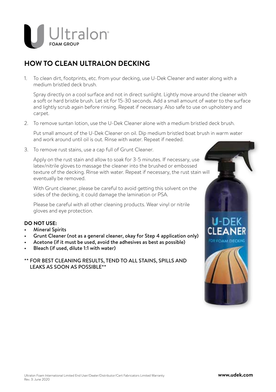

## **HOW TO CLEAN ULTRALON DECKING**

1. To clean dirt, footprints, etc. from your decking, use U-Dek Cleaner and water along with a medium bristled deck brush.

 Spray directly on a cool surface and not in direct sunlight. Lightly move around the cleaner with a soft or hard bristle brush. Let sit for 15-30 seconds. Add a small amount of water to the surface and lightly scrub again before rinsing. Repeat if necessary. Also safe to use on upholstery and carpet.

2. To remove suntan lotion, use the U-Dek Cleaner alone with a medium bristled deck brush.

 Put small amount of the U-Dek Cleaner on oil. Dip medium bristled boat brush in warm water and work around until oil is out. Rinse with water. Repeat if needed.

3. To remove rust stains, use a cap full of Grunt Cleaner.

 Apply on the rust stain and allow to soak for 3-5 minutes. If necessary, use latex/nitrile gloves to massage the cleaner into the brushed or embossed texture of the decking. Rinse with water. Repeat if necessary, the rust stain will eventually be removed.

 With Grunt cleaner, please be careful to avoid getting this solvent on the sides of the decking, it could damage the lamination or PSA.

 Please be careful with all other cleaning products. Wear vinyl or nitrile gloves and eye protection.

### **DO NOT USE:**

- Mineral Spirits
- Grunt Cleaner (not as a general cleaner, okay for Step 4 application only)
- Acetone (if it must be used, avoid the adhesives as best as possible)
- Bleach (if used, dilute 1:1 with water)
- \*\* FOR BEST CLEANING RESULTS, TEND TO ALL STAINS, SPILLS AND LEAKS AS SOON AS POSSIBLE\*\*

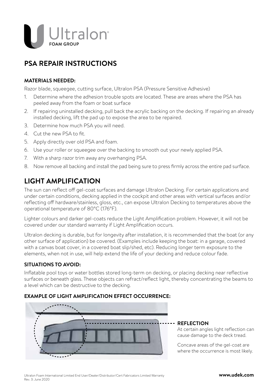

## **PSA REPAIR INSTRUCTIONS**

### **MATERIALS NEEDED:**

Razor blade, squeegee, cutting surface, Ultralon PSA (Pressure Sensitive Adhesive)

- 1. Determine where the adhesion trouble spots are located. These are areas where the PSA has peeled away from the foam or boat surface
- 2. If repairing uninstalled decking, pull back the acrylic backing on the decking. If repairing an already installed decking, lift the pad up to expose the area to be repaired.
- 3. Determine how much PSA you will need.
- 4. Cut the new PSA to fit.
- 5. Apply directly over old PSA and foam.
- 6. Use your roller or squeegee over the backing to smooth out your newly applied PSA.
- 7. With a sharp razor trim away any overhanging PSA.
- 8. Now remove all backing and install the pad being sure to press firmly across the entire pad surface.

## **LIGHT AMPLIFICATION**

The sun can reflect off gel-coat surfaces and damage Ultralon Decking. For certain applications and under certain conditions, decking applied in the cockpit and other areas with vertical surfaces and/or reflecting off hardware/stainless, gloss, etc., can expose Ultralon Decking to temperatures above the operational temperature of 80°C (176°F).

Lighter colours and darker gel-coats reduce the Light Amplification problem. However, it will not be covered under our standard warranty if Light Amplification occurs.

Ultralon decking is durable, but for longevity after installation, it is recommended that the boat (or any other surface of application) be covered. (Examples include keeping the boat: in a garage, covered with a canvas boat cover, in a covered boat slip/shed, etc). Reducing longer term exposure to the elements, when not in use, will help extend the life of your decking and reduce colour fade.

### **SITUATIONS TO AVOID:**

Inflatable pool toys or water bottles stored long-term on decking, or placing decking near reflective surfaces or beneath glass. These objects can refract/reflect light, thereby concentrating the beams to a level which can be destructive to the decking.

### **EXAMPLE OF LIGHT AMPLIFICATION EFFECT OCCURRENCE:**



### **REFLECTION**

At certain angles light reflection can cause damage to the deck tread.

Concave areas of the gel-coat are where the occurrence is most likely.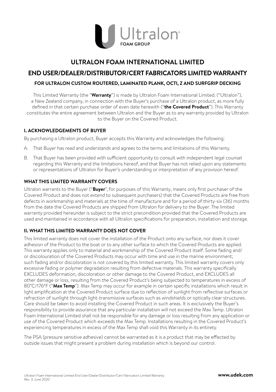

### **ULTRALON FOAM INTERNATIONAL LIMITED**

## **END USER/DEALER/DISTRIBUTOR/CERT FABRICATORS LIMITED WARRANTY**

### **FOR ULTRALON CUSTOM ROUTERED, LAMINATED PLANK, OCTI, Z AND SURFGRIP DECKING**

This Limited Warranty (the "**Warranty**") is made by Ultralon Foam International Limited. ("Ultralon"), a New Zealand company, in connection with the Buyer's purchase of a Ultralon product, as more fully defined in that certain purchase order of even date herewith ("**the Covered Product**"). This Warranty constitutes the entire agreement between Ultralon and the Buyer as to any warranty provided by Ultralon to the Buyer on the Covered Product.

### **I. ACKNOWLEDGEMENTS OF BUYER**

By purchasing a Ultralon product, Buyer accepts this Warranty and acknowledges the following:

- A. That Buyer has read and understands and agrees to the terms and limitations of this Warranty.
- B. That Buyer has been provided with sufficient opportunity to consult with independent legal counsel regarding this Warranty and the limitations hereof, and that Buyer has not relied upon any statements or representations of Ultralon for Buyer's understanding or interpretation of any provision hereof.

### **WHAT THIS LIMITED WARRANTY COVERS**

Ultralon warrants to the Buyer ("**Buyer**", for purposes of this Warranty, means only first purchaser of the Covered Product and does not extend to subsequent purchasers) that the Covered Products are free from defects in workmanship and materials at the time of manufacture and for a period of thirty-six (36) months from the date the Covered Products are shipped from Ultralon for delivery to the Buyer. The limited warranty provided hereunder is subject to the strict precondition provided that the Covered Products are used and maintained in accordance with all Ultralon specifications for preparation, installation and storage.

### **II. WHAT THIS LIMITED WARRANTY DOES NOT COVER**

This limited warranty does not cover the installation of the Product onto any surface, nor does it cover adhesion of the Product to the boat or to any other surface to which the Covered Products are applied. This warranty applies only to material and workmanship of the Covered Product itself. Some fading and/ or discolouration of the Covered Products may occur with time and use in the marine environment; such fading and/or discoloration is not covered by this limited warranty. This limited warranty covers only excessive fading or polymer degradation resulting from defective materials. This warranty specifically EXCLUDES deformation, discoloration or other damage to the Covered Product, and EXCLUDES all other damage or loss, resulting from the Covered Product's being subjected to temperatures in excess of 80˚C/176°F ("**Max Temp**"). Max Temp may occur for example in certain specific installations which result in light amplification at the Covered Product surface due to reflection of sunlight from reflective surfaces or refraction of sunlight through light-transmissive surfaces such as windshields or optically clear structures. Care should be taken to avoid installing the Covered Product in such areas. It is exclusively the Buyer's responsibility to provide assurance that any particular installation will not exceed the Max Temp. Ultralon Foam International Limited shall not be responsible for any damage or loss resulting from any application or use of the Covered Product which exceeds the Max Temp. Installations resulting in the Covered Product's experiencing temperatures in excess of the Max Temp shall void this Warranty in its entirety.

The PSA (pressure sensitive adhesive) cannot be warranted as it is a product that may be effected by outside issues that might present a problem during installation which is beyond our control.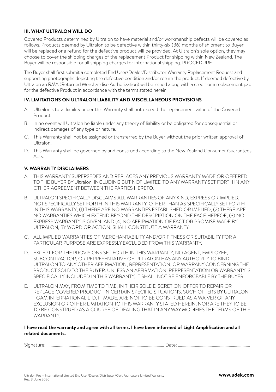### **III. WHAT ULTRALON WILL DO**

Covered Products determined by Ultralon to have material and/or workmanship defects will be covered as follows. Products deemed by Ultralon to be defective within thirty-six (36) months of shipment to Buyer will be replaced or a refund for the defective product will be provided. At Ultralon's sole option, they may choose to cover the shipping charges of the replacement Product for shipping within New Zealand. The Buyer will be responsible for all shipping charges for international shipping. PROCEDURE

The Buyer shall first submit a completed End User/Dealer/Distributor Warranty Replacement Request and supporting photographs depicting the defective condition and/or return the product. If deemed defective by Ultralon an RMA (Returned Merchandise Authorization) will be issued along with a credit or a replacement pad for the defective Product in accordance with the terms stated herein.

### **IV. LIMITATIONS ON ULTRALON LIABILITY AND MISCELLANEOUS PROVISIONS**

- A. Ultralon's total liability under this Warranty shall not exceed the replacement value of the Covered Product.
- B. In no event will Ultralon be liable under any theory of liability or be obligated for consequential or indirect damages of any type or nature.
- C. This Warranty shall not be assigned or transferred by the Buyer without the prior written approval of Ultralon.
- D. This Warranty shall be governed by and construed according to the New Zealand Consumer Guarantees Acts.

### **V. WARRANTY DISCLAIMERS**

- A. THIS WARRANTY SUPERSEDES AND REPLACES ANY PREVIOUS WARRANTY MADE OR OFFERED TO THE BUYER BY Ultralon, INCLUDING BUT NOT LIMITED TO ANY WARRANTY SET FORTH IN ANY OTHER AGREEMENT BETWEEN THE PARTIES HERETO.
- B. ULTRALON SPECIFICALLY DISCLAIMS ALL WARRANTIES OF ANY KIND, EXPRESS OR IMPLIED, NOT SPECIFICALLY SET FORTH IN THIS WARRANTY. OTHER THAN AS SPECIFICALLY SET FORTH IN THIS WARRANTY; (1) THERE ARE NO WARRANTIES ESTABLISHED OR IMPLIED; (2) THERE ARE NO WARRANTIES WHICH EXTEND BEYOND THE DESCRIPTION ON THE FACE HEREOF; (3) NO EXPRESS WARRANTY IS GIVEN; AND (4) NO AFFIRMATION OF FACT OR PROMISE MADE BY ULTRALON, BY WORD OR ACTION, SHALL CONSTITUTE A WARRANTY.
- C. ALL IMPLIED WARRANTIES OF MERCHANTABILITY AND/OR FITNESS OR SUITABILITY FOR A PARTICULAR PURPOSE ARE EXPRESSLY EXCLUDED FROM THIS WARRANTY.
- D. EXCEPT FOR THE PROVISIONS SET FORTH IN THIS WARRANTY, NO AGENT, EMPLOYEE. SUBCONTRACTOR, OR REPRESENTATIVE OF ULTRALON HAS ANY AUTHORITY TO BIND ULTRALON TO ANY OTHER AFFIRMATION, REPRESENTATION, OR WARRANY CONCERNING THE PRODUCT SOLD TO THE BUYER. UNLESS AN AFFIRMATION, REPRESENTATION OR WARRANTY IS SPECIFICALLY INCLUDED IN THIS WARRANTY, IT SHALL NOT BE ENFORCEABLE BY THE BUYER.
- E. ULTRALON MAY, FROM TIME TO TIME, IN THEIR SOLE DISCRETION OFFER TO REPAIR OR REPLACE COVERED PRODUCT IN CERTAIN SPECIFIC SITUATIONS. SUCH OFFERS BY ULTRALON FOAM INTERNATIONAL LTD, IF MADE, ARE NOT TO BE CONSTRUED AS A WAIVER OF ANY EXCLUSION OR OTHER LIMITATION TO THIS WARRANTY STATED HEREIN, NOR ARE THEY TO BE TO BE CONSTRUED AS A COURSE OF DEALING THAT IN ANY WAY MODIFIES THE TERMS OF THIS **WARRANTY**

### **I have read the warranty and agree with all terms. I have been informed of Light Amplification and all related documents.**

Signature: .............................................................................................................. Date: ....................................................................